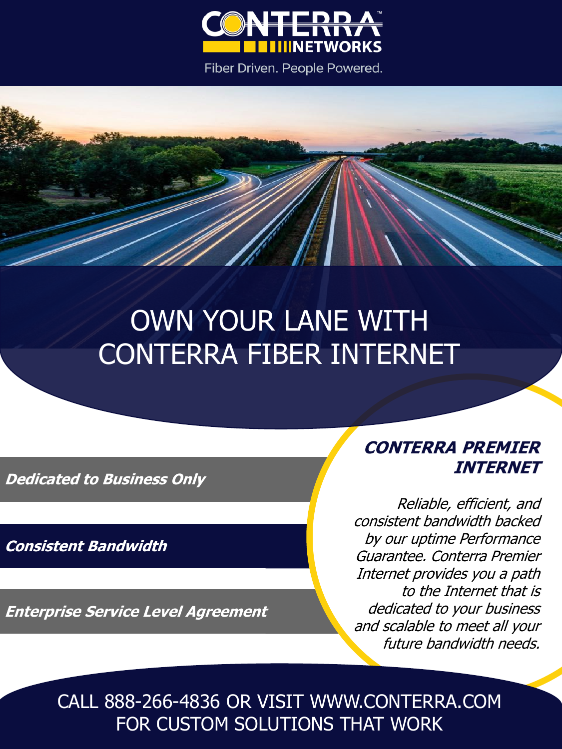

Fiber Driven. People Powered.

## OWN YOUR LANE WITH CONTERRA FIBER INTERNET

**Dedicated to Business Only**

**Consistent Bandwidth**

**Enterprise Service Level Agreement**

**CONTERRA PREMIER INTERNET**

Reliable, efficient, and consistent bandwidth backed by our uptime Performance Guarantee. Conterra Premier Internet provides you a path to the Internet that is dedicated to your business and scalable to meet all your future bandwidth needs.

CALL 888-266-4836 OR VISIT WWW.CONTERRA.COM FOR CUSTOM SOLUTIONS THAT WORK